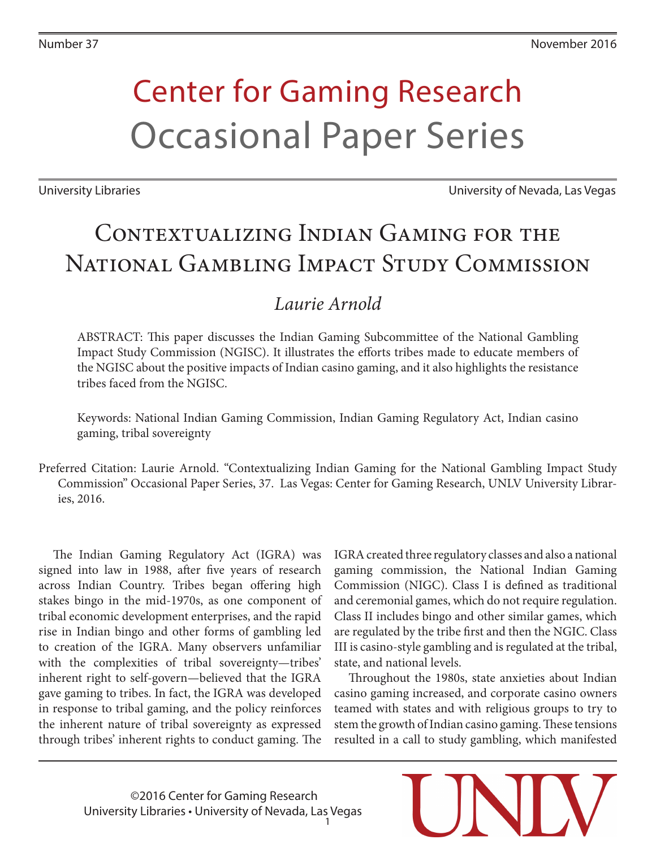# Center for Gaming Research Occasional Paper Series

University Libraries University of Nevada, Las Vegas

# CONTEXTUALIZING INDIAN GAMING FOR THE National Gambling Impact Study Commission

### *Laurie Arnold*

ABSTRACT: This paper discusses the Indian Gaming Subcommittee of the National Gambling Impact Study Commission (NGISC). It illustrates the efforts tribes made to educate members of the NGISC about the positive impacts of Indian casino gaming, and it also highlights the resistance tribes faced from the NGISC.

Keywords: National Indian Gaming Commission, Indian Gaming Regulatory Act, Indian casino gaming, tribal sovereignty

Preferred Citation: Laurie Arnold. "Contextualizing Indian Gaming for the National Gambling Impact Study Commission" Occasional Paper Series, 37. Las Vegas: Center for Gaming Research, UNLV University Libraries, 2016.

The Indian Gaming Regulatory Act (IGRA) was signed into law in 1988, after five years of research across Indian Country. Tribes began offering high stakes bingo in the mid-1970s, as one component of tribal economic development enterprises, and the rapid rise in Indian bingo and other forms of gambling led to creation of the IGRA. Many observers unfamiliar with the complexities of tribal sovereignty—tribes' inherent right to self-govern—believed that the IGRA gave gaming to tribes. In fact, the IGRA was developed in response to tribal gaming, and the policy reinforces the inherent nature of tribal sovereignty as expressed through tribes' inherent rights to conduct gaming. The

IGRA created three regulatory classes and also a national gaming commission, the National Indian Gaming Commission (NIGC). Class I is defined as traditional and ceremonial games, which do not require regulation. Class II includes bingo and other similar games, which are regulated by the tribe first and then the NGIC. Class III is casino-style gambling and is regulated at the tribal, state, and national levels.

Throughout the 1980s, state anxieties about Indian casino gaming increased, and corporate casino owners teamed with states and with religious groups to try to stem the growth of Indian casino gaming. These tensions resulted in a call to study gambling, which manifested

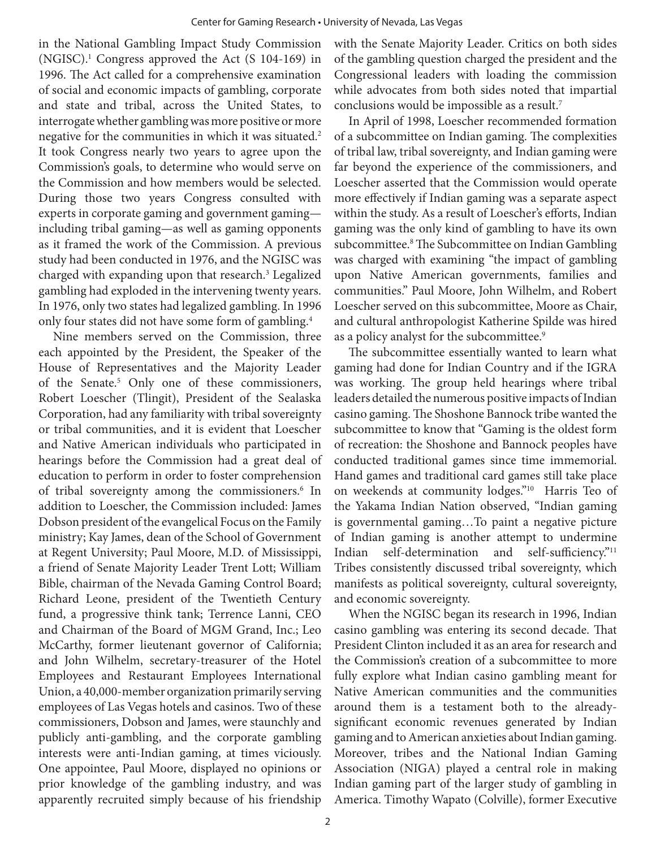in the National Gambling Impact Study Commission (NGISC).1 Congress approved the Act (S 104-169) in 1996. The Act called for a comprehensive examination of social and economic impacts of gambling, corporate and state and tribal, across the United States, to interrogate whether gambling was more positive or more negative for the communities in which it was situated.<sup>2</sup> It took Congress nearly two years to agree upon the Commission's goals, to determine who would serve on the Commission and how members would be selected. During those two years Congress consulted with experts in corporate gaming and government gaming including tribal gaming—as well as gaming opponents as it framed the work of the Commission. A previous study had been conducted in 1976, and the NGISC was charged with expanding upon that research.<sup>3</sup> Legalized gambling had exploded in the intervening twenty years. In 1976, only two states had legalized gambling. In 1996 only four states did not have some form of gambling.4

Nine members served on the Commission, three each appointed by the President, the Speaker of the House of Representatives and the Majority Leader of the Senate.5 Only one of these commissioners, Robert Loescher (Tlingit), President of the Sealaska Corporation, had any familiarity with tribal sovereignty or tribal communities, and it is evident that Loescher and Native American individuals who participated in hearings before the Commission had a great deal of education to perform in order to foster comprehension of tribal sovereignty among the commissioners.<sup>6</sup> In addition to Loescher, the Commission included: James Dobson president of the evangelical Focus on the Family ministry; Kay James, dean of the School of Government at Regent University; Paul Moore, M.D. of Mississippi, a friend of Senate Majority Leader Trent Lott; William Bible, chairman of the Nevada Gaming Control Board; Richard Leone, president of the Twentieth Century fund, a progressive think tank; Terrence Lanni, CEO and Chairman of the Board of MGM Grand, Inc.; Leo McCarthy, former lieutenant governor of California; and John Wilhelm, secretary-treasurer of the Hotel Employees and Restaurant Employees International Union, a 40,000-member organization primarily serving employees of Las Vegas hotels and casinos. Two of these commissioners, Dobson and James, were staunchly and publicly anti-gambling, and the corporate gambling interests were anti-Indian gaming, at times viciously. One appointee, Paul Moore, displayed no opinions or prior knowledge of the gambling industry, and was apparently recruited simply because of his friendship

with the Senate Majority Leader. Critics on both sides of the gambling question charged the president and the Congressional leaders with loading the commission while advocates from both sides noted that impartial conclusions would be impossible as a result.<sup>7</sup>

In April of 1998, Loescher recommended formation of a subcommittee on Indian gaming. The complexities of tribal law, tribal sovereignty, and Indian gaming were far beyond the experience of the commissioners, and Loescher asserted that the Commission would operate more effectively if Indian gaming was a separate aspect within the study. As a result of Loescher's efforts, Indian gaming was the only kind of gambling to have its own subcommittee.8 The Subcommittee on Indian Gambling was charged with examining "the impact of gambling upon Native American governments, families and communities." Paul Moore, John Wilhelm, and Robert Loescher served on this subcommittee, Moore as Chair, and cultural anthropologist Katherine Spilde was hired as a policy analyst for the subcommittee.<sup>9</sup>

The subcommittee essentially wanted to learn what gaming had done for Indian Country and if the IGRA was working. The group held hearings where tribal leaders detailed the numerous positive impacts of Indian casino gaming. The Shoshone Bannock tribe wanted the subcommittee to know that "Gaming is the oldest form of recreation: the Shoshone and Bannock peoples have conducted traditional games since time immemorial. Hand games and traditional card games still take place on weekends at community lodges."10 Harris Teo of the Yakama Indian Nation observed, "Indian gaming is governmental gaming…To paint a negative picture of Indian gaming is another attempt to undermine Indian self-determination and self-sufficiency."11 Tribes consistently discussed tribal sovereignty, which manifests as political sovereignty, cultural sovereignty, and economic sovereignty.

When the NGISC began its research in 1996, Indian casino gambling was entering its second decade. That President Clinton included it as an area for research and the Commission's creation of a subcommittee to more fully explore what Indian casino gambling meant for Native American communities and the communities around them is a testament both to the alreadysignificant economic revenues generated by Indian gaming and to American anxieties about Indian gaming. Moreover, tribes and the National Indian Gaming Association (NIGA) played a central role in making Indian gaming part of the larger study of gambling in America. Timothy Wapato (Colville), former Executive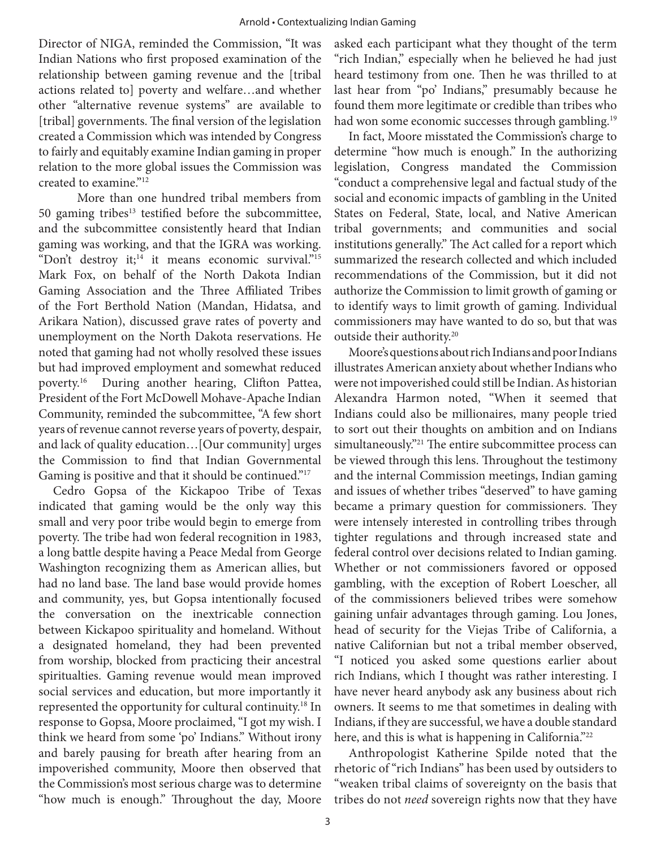Director of NIGA, reminded the Commission, "It was Indian Nations who first proposed examination of the relationship between gaming revenue and the [tribal actions related to] poverty and welfare…and whether other "alternative revenue systems" are available to [tribal] governments. The final version of the legislation created a Commission which was intended by Congress to fairly and equitably examine Indian gaming in proper relation to the more global issues the Commission was created to examine."12

More than one hundred tribal members from 50 gaming tribes $13$  testified before the subcommittee, and the subcommittee consistently heard that Indian gaming was working, and that the IGRA was working. "Don't destroy it;<sup>14</sup> it means economic survival."<sup>15</sup> Mark Fox, on behalf of the North Dakota Indian Gaming Association and the Three Affiliated Tribes of the Fort Berthold Nation (Mandan, Hidatsa, and Arikara Nation), discussed grave rates of poverty and unemployment on the North Dakota reservations. He noted that gaming had not wholly resolved these issues but had improved employment and somewhat reduced poverty.16 During another hearing, Clifton Pattea, President of the Fort McDowell Mohave-Apache Indian Community, reminded the subcommittee, "A few short years of revenue cannot reverse years of poverty, despair, and lack of quality education…[Our community] urges the Commission to find that Indian Governmental Gaming is positive and that it should be continued."17

Cedro Gopsa of the Kickapoo Tribe of Texas indicated that gaming would be the only way this small and very poor tribe would begin to emerge from poverty. The tribe had won federal recognition in 1983, a long battle despite having a Peace Medal from George Washington recognizing them as American allies, but had no land base. The land base would provide homes and community, yes, but Gopsa intentionally focused the conversation on the inextricable connection between Kickapoo spirituality and homeland. Without a designated homeland, they had been prevented from worship, blocked from practicing their ancestral spiritualties. Gaming revenue would mean improved social services and education, but more importantly it represented the opportunity for cultural continuity.<sup>18</sup> In response to Gopsa, Moore proclaimed, "I got my wish. I think we heard from some 'po' Indians." Without irony and barely pausing for breath after hearing from an impoverished community, Moore then observed that the Commission's most serious charge was to determine "how much is enough." Throughout the day, Moore asked each participant what they thought of the term "rich Indian," especially when he believed he had just heard testimony from one. Then he was thrilled to at last hear from "po' Indians," presumably because he found them more legitimate or credible than tribes who had won some economic successes through gambling.<sup>19</sup>

In fact, Moore misstated the Commission's charge to determine "how much is enough." In the authorizing legislation, Congress mandated the Commission "conduct a comprehensive legal and factual study of the social and economic impacts of gambling in the United States on Federal, State, local, and Native American tribal governments; and communities and social institutions generally." The Act called for a report which summarized the research collected and which included recommendations of the Commission, but it did not authorize the Commission to limit growth of gaming or to identify ways to limit growth of gaming. Individual commissioners may have wanted to do so, but that was outside their authority.<sup>20</sup>

Moore's questions about rich Indians and poor Indians illustrates American anxiety about whether Indians who were not impoverished could still be Indian. As historian Alexandra Harmon noted, "When it seemed that Indians could also be millionaires, many people tried to sort out their thoughts on ambition and on Indians simultaneously."<sup>21</sup> The entire subcommittee process can be viewed through this lens. Throughout the testimony and the internal Commission meetings, Indian gaming and issues of whether tribes "deserved" to have gaming became a primary question for commissioners. They were intensely interested in controlling tribes through tighter regulations and through increased state and federal control over decisions related to Indian gaming. Whether or not commissioners favored or opposed gambling, with the exception of Robert Loescher, all of the commissioners believed tribes were somehow gaining unfair advantages through gaming. Lou Jones, head of security for the Viejas Tribe of California, a native Californian but not a tribal member observed, "I noticed you asked some questions earlier about rich Indians, which I thought was rather interesting. I have never heard anybody ask any business about rich owners. It seems to me that sometimes in dealing with Indians, if they are successful, we have a double standard here, and this is what is happening in California."<sup>22</sup>

Anthropologist Katherine Spilde noted that the rhetoric of "rich Indians" has been used by outsiders to "weaken tribal claims of sovereignty on the basis that tribes do not *need* sovereign rights now that they have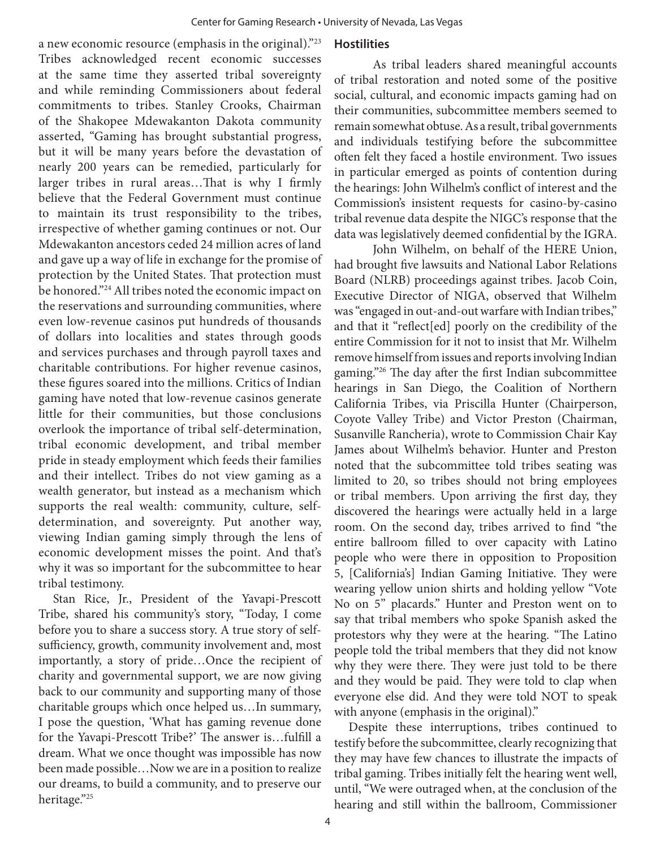a new economic resource (emphasis in the original)."23 Tribes acknowledged recent economic successes at the same time they asserted tribal sovereignty and while reminding Commissioners about federal commitments to tribes. Stanley Crooks, Chairman of the Shakopee Mdewakanton Dakota community asserted, "Gaming has brought substantial progress, but it will be many years before the devastation of nearly 200 years can be remedied, particularly for larger tribes in rural areas…That is why I firmly believe that the Federal Government must continue to maintain its trust responsibility to the tribes, irrespective of whether gaming continues or not. Our Mdewakanton ancestors ceded 24 million acres of land and gave up a way of life in exchange for the promise of protection by the United States. That protection must be honored."24 All tribes noted the economic impact on the reservations and surrounding communities, where even low-revenue casinos put hundreds of thousands of dollars into localities and states through goods and services purchases and through payroll taxes and charitable contributions. For higher revenue casinos, these figures soared into the millions. Critics of Indian gaming have noted that low-revenue casinos generate little for their communities, but those conclusions overlook the importance of tribal self-determination, tribal economic development, and tribal member pride in steady employment which feeds their families and their intellect. Tribes do not view gaming as a wealth generator, but instead as a mechanism which supports the real wealth: community, culture, selfdetermination, and sovereignty. Put another way, viewing Indian gaming simply through the lens of economic development misses the point. And that's why it was so important for the subcommittee to hear tribal testimony.

Stan Rice, Jr., President of the Yavapi-Prescott Tribe, shared his community's story, "Today, I come before you to share a success story. A true story of selfsufficiency, growth, community involvement and, most importantly, a story of pride…Once the recipient of charity and governmental support, we are now giving back to our community and supporting many of those charitable groups which once helped us…In summary, I pose the question, 'What has gaming revenue done for the Yavapi-Prescott Tribe?' The answer is…fulfill a dream. What we once thought was impossible has now been made possible…Now we are in a position to realize our dreams, to build a community, and to preserve our heritage."25

#### **Hostilities**

As tribal leaders shared meaningful accounts of tribal restoration and noted some of the positive social, cultural, and economic impacts gaming had on their communities, subcommittee members seemed to remain somewhat obtuse. As a result, tribal governments and individuals testifying before the subcommittee often felt they faced a hostile environment. Two issues in particular emerged as points of contention during the hearings: John Wilhelm's conflict of interest and the Commission's insistent requests for casino-by-casino tribal revenue data despite the NIGC's response that the data was legislatively deemed confidential by the IGRA.

John Wilhelm, on behalf of the HERE Union, had brought five lawsuits and National Labor Relations Board (NLRB) proceedings against tribes. Jacob Coin, Executive Director of NIGA, observed that Wilhelm was "engaged in out-and-out warfare with Indian tribes," and that it "reflect[ed] poorly on the credibility of the entire Commission for it not to insist that Mr. Wilhelm remove himself from issues and reports involving Indian gaming."26 The day after the first Indian subcommittee hearings in San Diego, the Coalition of Northern California Tribes, via Priscilla Hunter (Chairperson, Coyote Valley Tribe) and Victor Preston (Chairman, Susanville Rancheria), wrote to Commission Chair Kay James about Wilhelm's behavior. Hunter and Preston noted that the subcommittee told tribes seating was limited to 20, so tribes should not bring employees or tribal members. Upon arriving the first day, they discovered the hearings were actually held in a large room. On the second day, tribes arrived to find "the entire ballroom filled to over capacity with Latino people who were there in opposition to Proposition 5, [California's] Indian Gaming Initiative. They were wearing yellow union shirts and holding yellow "Vote No on 5" placards." Hunter and Preston went on to say that tribal members who spoke Spanish asked the protestors why they were at the hearing. "The Latino people told the tribal members that they did not know why they were there. They were just told to be there and they would be paid. They were told to clap when everyone else did. And they were told NOT to speak with anyone (emphasis in the original)."

Despite these interruptions, tribes continued to testify before the subcommittee, clearly recognizing that they may have few chances to illustrate the impacts of tribal gaming. Tribes initially felt the hearing went well, until, "We were outraged when, at the conclusion of the hearing and still within the ballroom, Commissioner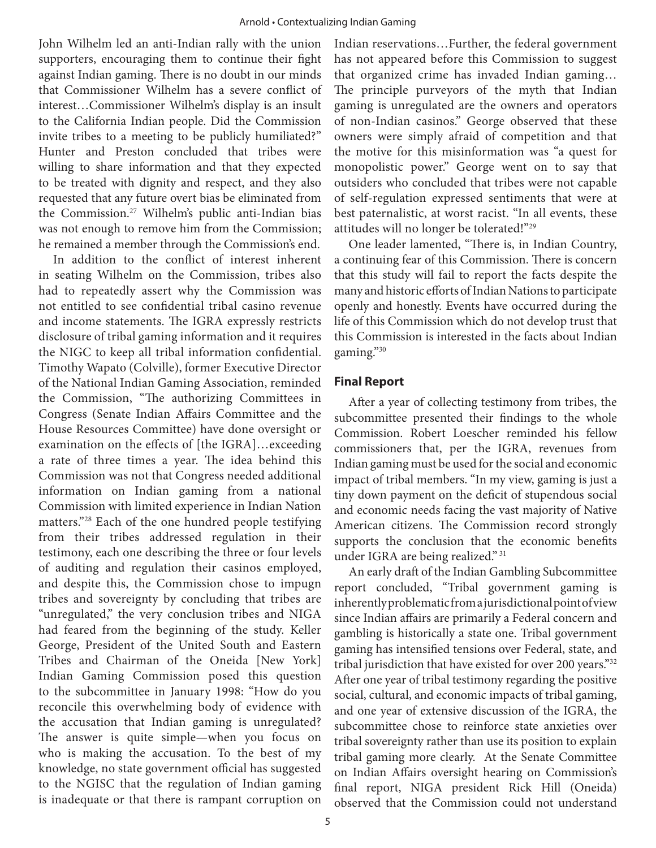John Wilhelm led an anti-Indian rally with the union supporters, encouraging them to continue their fight against Indian gaming. There is no doubt in our minds that Commissioner Wilhelm has a severe conflict of interest…Commissioner Wilhelm's display is an insult to the California Indian people. Did the Commission invite tribes to a meeting to be publicly humiliated?" Hunter and Preston concluded that tribes were willing to share information and that they expected to be treated with dignity and respect, and they also requested that any future overt bias be eliminated from the Commission.27 Wilhelm's public anti-Indian bias was not enough to remove him from the Commission; he remained a member through the Commission's end.

In addition to the conflict of interest inherent in seating Wilhelm on the Commission, tribes also had to repeatedly assert why the Commission was not entitled to see confidential tribal casino revenue and income statements. The IGRA expressly restricts disclosure of tribal gaming information and it requires the NIGC to keep all tribal information confidential. Timothy Wapato (Colville), former Executive Director of the National Indian Gaming Association, reminded the Commission, "The authorizing Committees in Congress (Senate Indian Affairs Committee and the House Resources Committee) have done oversight or examination on the effects of [the IGRA]…exceeding a rate of three times a year. The idea behind this Commission was not that Congress needed additional information on Indian gaming from a national Commission with limited experience in Indian Nation matters."28 Each of the one hundred people testifying from their tribes addressed regulation in their testimony, each one describing the three or four levels of auditing and regulation their casinos employed, and despite this, the Commission chose to impugn tribes and sovereignty by concluding that tribes are "unregulated," the very conclusion tribes and NIGA had feared from the beginning of the study. Keller George, President of the United South and Eastern Tribes and Chairman of the Oneida [New York] Indian Gaming Commission posed this question to the subcommittee in January 1998: "How do you reconcile this overwhelming body of evidence with the accusation that Indian gaming is unregulated? The answer is quite simple—when you focus on who is making the accusation. To the best of my knowledge, no state government official has suggested to the NGISC that the regulation of Indian gaming is inadequate or that there is rampant corruption on

Indian reservations…Further, the federal government has not appeared before this Commission to suggest that organized crime has invaded Indian gaming… The principle purveyors of the myth that Indian gaming is unregulated are the owners and operators of non-Indian casinos." George observed that these owners were simply afraid of competition and that the motive for this misinformation was "a quest for monopolistic power." George went on to say that outsiders who concluded that tribes were not capable of self-regulation expressed sentiments that were at best paternalistic, at worst racist. "In all events, these attitudes will no longer be tolerated!"29

One leader lamented, "There is, in Indian Country, a continuing fear of this Commission. There is concern that this study will fail to report the facts despite the many and historic efforts of Indian Nations to participate openly and honestly. Events have occurred during the life of this Commission which do not develop trust that this Commission is interested in the facts about Indian gaming."30

#### **Final Report**

After a year of collecting testimony from tribes, the subcommittee presented their findings to the whole Commission. Robert Loescher reminded his fellow commissioners that, per the IGRA, revenues from Indian gaming must be used for the social and economic impact of tribal members. "In my view, gaming is just a tiny down payment on the deficit of stupendous social and economic needs facing the vast majority of Native American citizens. The Commission record strongly supports the conclusion that the economic benefits under IGRA are being realized." 31

An early draft of the Indian Gambling Subcommittee report concluded, "Tribal government gaming is inherently problematic from a jurisdictional point of view since Indian affairs are primarily a Federal concern and gambling is historically a state one. Tribal government gaming has intensified tensions over Federal, state, and tribal jurisdiction that have existed for over 200 years."32 After one year of tribal testimony regarding the positive social, cultural, and economic impacts of tribal gaming, and one year of extensive discussion of the IGRA, the subcommittee chose to reinforce state anxieties over tribal sovereignty rather than use its position to explain tribal gaming more clearly. At the Senate Committee on Indian Affairs oversight hearing on Commission's final report, NIGA president Rick Hill (Oneida) observed that the Commission could not understand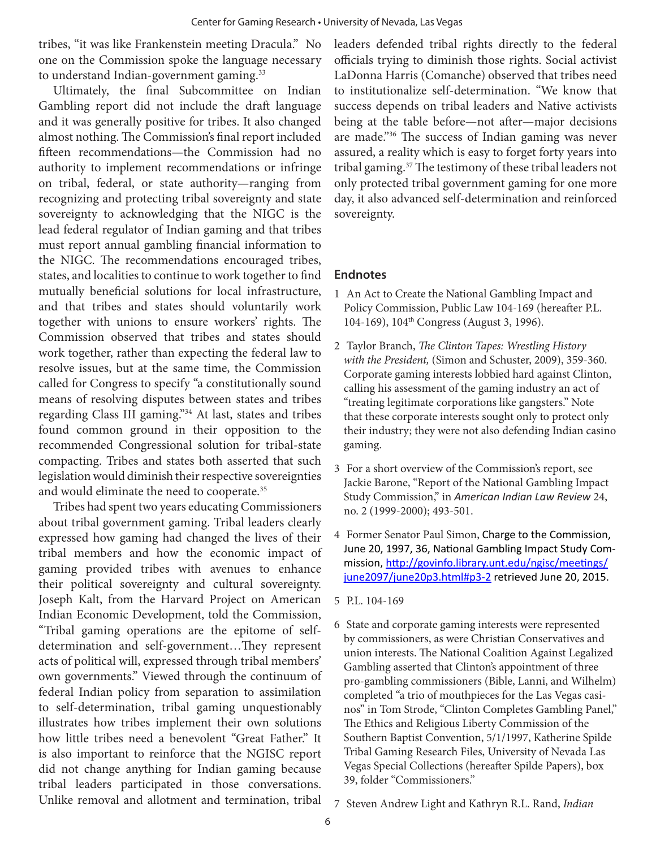tribes, "it was like Frankenstein meeting Dracula." No one on the Commission spoke the language necessary to understand Indian-government gaming.<sup>33</sup>

Ultimately, the final Subcommittee on Indian Gambling report did not include the draft language and it was generally positive for tribes. It also changed almost nothing. The Commission's final report included fifteen recommendations—the Commission had no authority to implement recommendations or infringe on tribal, federal, or state authority—ranging from recognizing and protecting tribal sovereignty and state sovereignty to acknowledging that the NIGC is the lead federal regulator of Indian gaming and that tribes must report annual gambling financial information to the NIGC. The recommendations encouraged tribes, states, and localities to continue to work together to find mutually beneficial solutions for local infrastructure, and that tribes and states should voluntarily work together with unions to ensure workers' rights. The Commission observed that tribes and states should work together, rather than expecting the federal law to resolve issues, but at the same time, the Commission called for Congress to specify "a constitutionally sound means of resolving disputes between states and tribes regarding Class III gaming."34 At last, states and tribes found common ground in their opposition to the recommended Congressional solution for tribal-state compacting. Tribes and states both asserted that such legislation would diminish their respective sovereignties and would eliminate the need to cooperate.35

Tribes had spent two years educating Commissioners about tribal government gaming. Tribal leaders clearly expressed how gaming had changed the lives of their tribal members and how the economic impact of gaming provided tribes with avenues to enhance their political sovereignty and cultural sovereignty. Joseph Kalt, from the Harvard Project on American Indian Economic Development, told the Commission, "Tribal gaming operations are the epitome of selfdetermination and self-government…They represent acts of political will, expressed through tribal members' own governments." Viewed through the continuum of federal Indian policy from separation to assimilation to self-determination, tribal gaming unquestionably illustrates how tribes implement their own solutions how little tribes need a benevolent "Great Father." It is also important to reinforce that the NGISC report did not change anything for Indian gaming because tribal leaders participated in those conversations. Unlike removal and allotment and termination, tribal

leaders defended tribal rights directly to the federal officials trying to diminish those rights. Social activist LaDonna Harris (Comanche) observed that tribes need to institutionalize self-determination. "We know that success depends on tribal leaders and Native activists being at the table before—not after—major decisions are made."36 The success of Indian gaming was never assured, a reality which is easy to forget forty years into tribal gaming.37 The testimony of these tribal leaders not only protected tribal government gaming for one more day, it also advanced self-determination and reinforced sovereignty.

#### **Endnotes**

- 1 An Act to Create the National Gambling Impact and Policy Commission, Public Law 104-169 (hereafter P.L. 104-169), 104th Congress (August 3, 1996).
- 2 Taylor Branch, *The Clinton Tapes: Wrestling History with the President,* (Simon and Schuster, 2009), 359-360. Corporate gaming interests lobbied hard against Clinton, calling his assessment of the gaming industry an act of "treating legitimate corporations like gangsters." Note that these corporate interests sought only to protect only their industry; they were not also defending Indian casino gaming.
- 3 For a short overview of the Commission's report, see Jackie Barone, "Report of the National Gambling Impact Study Commission," in *American Indian Law Review* 24, no. 2 (1999-2000); 493-501.
- 4 Former Senator Paul Simon, Charge to the Commission, June 20, 1997, 36, National Gambling Impact Study Commission, http://govinfo.library.unt.edu/ngisc/meetings/ june2097/june20p3.html#p3-2 retrieved June 20, 2015.
- 5 P.L. 104-169
- 6 State and corporate gaming interests were represented by commissioners, as were Christian Conservatives and union interests. The National Coalition Against Legalized Gambling asserted that Clinton's appointment of three pro-gambling commissioners (Bible, Lanni, and Wilhelm) completed "a trio of mouthpieces for the Las Vegas casinos" in Tom Strode, "Clinton Completes Gambling Panel," The Ethics and Religious Liberty Commission of the Southern Baptist Convention, 5/1/1997, Katherine Spilde Tribal Gaming Research Files, University of Nevada Las Vegas Special Collections (hereafter Spilde Papers), box 39, folder "Commissioners."
- 7 Steven Andrew Light and Kathryn R.L. Rand, *Indian*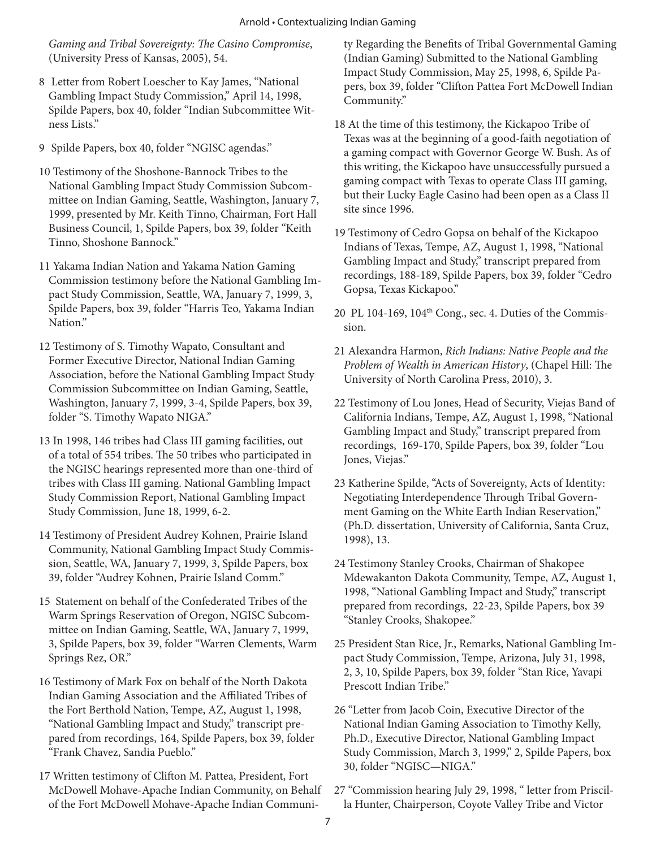*Gaming and Tribal Sovereignty: The Casino Compromise*, (University Press of Kansas, 2005), 54.

- 8 Letter from Robert Loescher to Kay James, "National Gambling Impact Study Commission," April 14, 1998, Spilde Papers, box 40, folder "Indian Subcommittee Witness Lists."
- 9 Spilde Papers, box 40, folder "NGISC agendas."
- 10 Testimony of the Shoshone-Bannock Tribes to the National Gambling Impact Study Commission Subcommittee on Indian Gaming, Seattle, Washington, January 7, 1999, presented by Mr. Keith Tinno, Chairman, Fort Hall Business Council, 1, Spilde Papers, box 39, folder "Keith Tinno, Shoshone Bannock."
- 11 Yakama Indian Nation and Yakama Nation Gaming Commission testimony before the National Gambling Impact Study Commission, Seattle, WA, January 7, 1999, 3, Spilde Papers, box 39, folder "Harris Teo, Yakama Indian Nation."
- 12 Testimony of S. Timothy Wapato, Consultant and Former Executive Director, National Indian Gaming Association, before the National Gambling Impact Study Commission Subcommittee on Indian Gaming, Seattle, Washington, January 7, 1999, 3-4, Spilde Papers, box 39, folder "S. Timothy Wapato NIGA."
- 13 In 1998, 146 tribes had Class III gaming facilities, out of a total of 554 tribes. The 50 tribes who participated in the NGISC hearings represented more than one-third of tribes with Class III gaming. National Gambling Impact Study Commission Report, National Gambling Impact Study Commission, June 18, 1999, 6-2.
- 14 Testimony of President Audrey Kohnen, Prairie Island Community, National Gambling Impact Study Commission, Seattle, WA, January 7, 1999, 3, Spilde Papers, box 39, folder "Audrey Kohnen, Prairie Island Comm."
- 15 Statement on behalf of the Confederated Tribes of the Warm Springs Reservation of Oregon, NGISC Subcommittee on Indian Gaming, Seattle, WA, January 7, 1999, 3, Spilde Papers, box 39, folder "Warren Clements, Warm Springs Rez, OR."
- 16 Testimony of Mark Fox on behalf of the North Dakota Indian Gaming Association and the Affiliated Tribes of the Fort Berthold Nation, Tempe, AZ, August 1, 1998, "National Gambling Impact and Study," transcript prepared from recordings, 164, Spilde Papers, box 39, folder "Frank Chavez, Sandia Pueblo."
- 17 Written testimony of Clifton M. Pattea, President, Fort McDowell Mohave-Apache Indian Community, on Behalf of the Fort McDowell Mohave-Apache Indian Communi-

ty Regarding the Benefits of Tribal Governmental Gaming (Indian Gaming) Submitted to the National Gambling Impact Study Commission, May 25, 1998, 6, Spilde Papers, box 39, folder "Clifton Pattea Fort McDowell Indian Community."

- 18 At the time of this testimony, the Kickapoo Tribe of Texas was at the beginning of a good-faith negotiation of a gaming compact with Governor George W. Bush. As of this writing, the Kickapoo have unsuccessfully pursued a gaming compact with Texas to operate Class III gaming, but their Lucky Eagle Casino had been open as a Class II site since 1996.
- 19 Testimony of Cedro Gopsa on behalf of the Kickapoo Indians of Texas, Tempe, AZ, August 1, 1998, "National Gambling Impact and Study," transcript prepared from recordings, 188-189, Spilde Papers, box 39, folder "Cedro Gopsa, Texas Kickapoo."
- 20 PL 104-169, 104th Cong., sec. 4. Duties of the Commission.
- 21 Alexandra Harmon, *Rich Indians: Native People and the Problem of Wealth in American History*, (Chapel Hill: The University of North Carolina Press, 2010), 3.
- 22 Testimony of Lou Jones, Head of Security, Viejas Band of California Indians, Tempe, AZ, August 1, 1998, "National Gambling Impact and Study," transcript prepared from recordings, 169-170, Spilde Papers, box 39, folder "Lou Jones, Viejas."
- 23 Katherine Spilde, "Acts of Sovereignty, Acts of Identity: Negotiating Interdependence Through Tribal Government Gaming on the White Earth Indian Reservation," (Ph.D. dissertation, University of California, Santa Cruz, 1998), 13.
- 24 Testimony Stanley Crooks, Chairman of Shakopee Mdewakanton Dakota Community, Tempe, AZ, August 1, 1998, "National Gambling Impact and Study," transcript prepared from recordings, 22-23, Spilde Papers, box 39 "Stanley Crooks, Shakopee."
- 25 President Stan Rice, Jr., Remarks, National Gambling Impact Study Commission, Tempe, Arizona, July 31, 1998, 2, 3, 10, Spilde Papers, box 39, folder "Stan Rice, Yavapi Prescott Indian Tribe."
- 26 "Letter from Jacob Coin, Executive Director of the National Indian Gaming Association to Timothy Kelly, Ph.D., Executive Director, National Gambling Impact Study Commission, March 3, 1999," 2, Spilde Papers, box 30, folder "NGISC—NIGA."
- 27 "Commission hearing July 29, 1998, " letter from Priscilla Hunter, Chairperson, Coyote Valley Tribe and Victor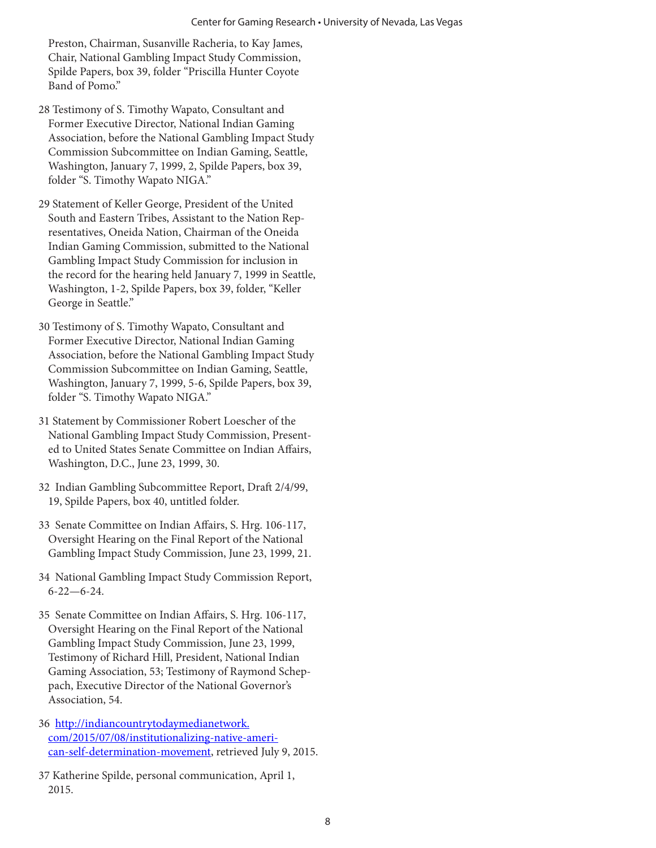Preston, Chairman, Susanville Racheria, to Kay James, Chair, National Gambling Impact Study Commission, Spilde Papers, box 39, folder "Priscilla Hunter Coyote Band of Pomo"

- 28 Testimony of S. Timothy Wapato, Consultant and Former Executive Director, National Indian Gaming Association, before the National Gambling Impact Study Commission Subcommittee on Indian Gaming, Seattle, Washington, January 7, 1999, 2, Spilde Papers, box 39, folder "S. Timothy Wapato NIGA."
- 29 Statement of Keller George, President of the United South and Eastern Tribes, Assistant to the Nation Representatives, Oneida Nation, Chairman of the Oneida Indian Gaming Commission, submitted to the National Gambling Impact Study Commission for inclusion in the record for the hearing held January 7, 1999 in Seattle, Washington, 1-2, Spilde Papers, box 39, folder, "Keller George in Seattle."
- 30 Testimony of S. Timothy Wapato, Consultant and Former Executive Director, National Indian Gaming Association, before the National Gambling Impact Study Commission Subcommittee on Indian Gaming, Seattle, Washington, January 7, 1999, 5-6, Spilde Papers, box 39, folder "S. Timothy Wapato NIGA."
- 31 Statement by Commissioner Robert Loescher of the National Gambling Impact Study Commission, Presented to United States Senate Committee on Indian Affairs, Washington, D.C., June 23, 1999, 30.
- 32 Indian Gambling Subcommittee Report, Draft 2/4/99, 19, Spilde Papers, box 40, untitled folder.
- 33 Senate Committee on Indian Affairs, S. Hrg. 106-117, Oversight Hearing on the Final Report of the National Gambling Impact Study Commission, June 23, 1999, 21.
- 34 National Gambling Impact Study Commission Report, 6-22—6-24.
- 35 Senate Committee on Indian Affairs, S. Hrg. 106-117, Oversight Hearing on the Final Report of the National Gambling Impact Study Commission, June 23, 1999, Testimony of Richard Hill, President, National Indian Gaming Association, 53; Testimony of Raymond Scheppach, Executive Director of the National Governor's Association, 54.
- 36 http://indiancountrytodaymedianetwork. com/2015/07/08/institutionalizing-native-american-self-determination-movement, retrieved July 9, 2015.
- 37 Katherine Spilde, personal communication, April 1, 2015.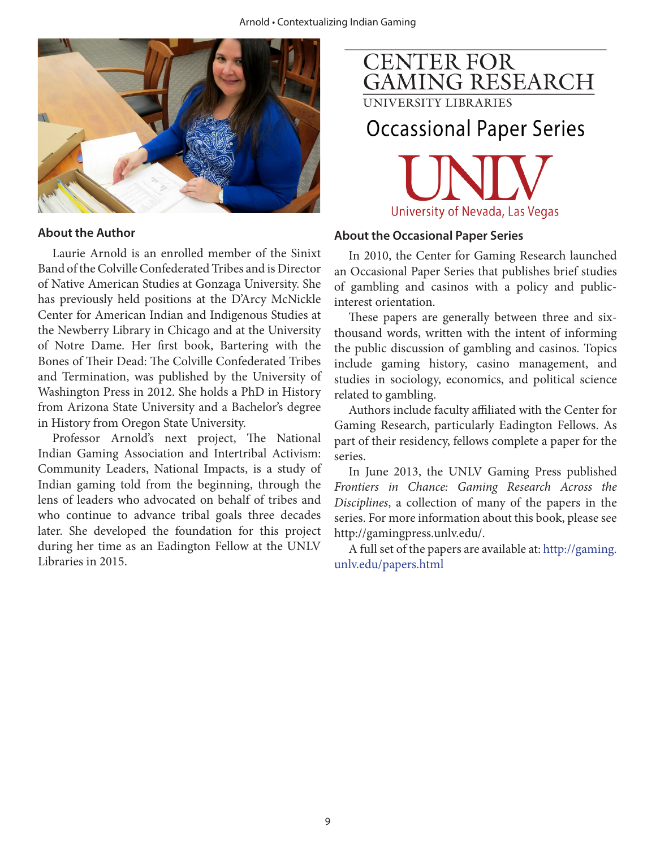

#### **About the Author**

Laurie Arnold is an enrolled member of the Sinixt Band of the Colville Confederated Tribes and is Director of Native American Studies at Gonzaga University. She has previously held positions at the D'Arcy McNickle Center for American Indian and Indigenous Studies at the Newberry Library in Chicago and at the University of Notre Dame. Her first book, Bartering with the Bones of Their Dead: The Colville Confederated Tribes and Termination, was published by the University of Washington Press in 2012. She holds a PhD in History from Arizona State University and a Bachelor's degree in History from Oregon State University.

Professor Arnold's next project, The National Indian Gaming Association and Intertribal Activism: Community Leaders, National Impacts, is a study of Indian gaming told from the beginning, through the lens of leaders who advocated on behalf of tribes and who continue to advance tribal goals three decades later. She developed the foundation for this project during her time as an Eadington Fellow at the UNLV Libraries in 2015.



UNIVERSITY LIBRARIES

## **Occassional Paper Series**



#### **About the Occasional Paper Series**

In 2010, the Center for Gaming Research launched an Occasional Paper Series that publishes brief studies of gambling and casinos with a policy and publicinterest orientation.

These papers are generally between three and sixthousand words, written with the intent of informing the public discussion of gambling and casinos. Topics include gaming history, casino management, and studies in sociology, economics, and political science related to gambling.

Authors include faculty affiliated with the Center for Gaming Research, particularly Eadington Fellows. As part of their residency, fellows complete a paper for the series.

In June 2013, the UNLV Gaming Press published *Frontiers in Chance: Gaming Research Across the Disciplines*, a collection of many of the papers in the series. For more information about this book, please see http://gamingpress.unlv.edu/.

A full set of the papers are available at: http://gaming. unlv.edu/papers.html